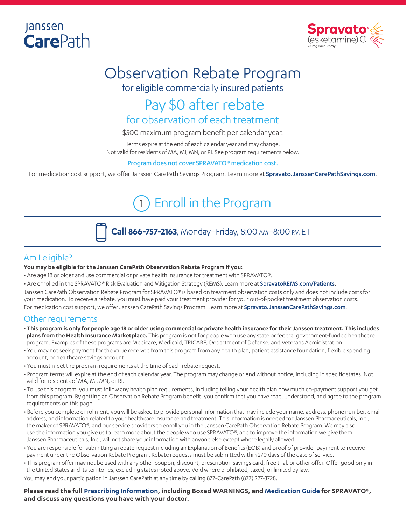## **Janssen Care**Path



# Observation Rebate Program

for eligible commercially insured patients

## Pay \$0 after rebate for observation of each treatment

\$500 maximum program benefit per calendar year.

Terms expire at the end of each calendar year and may change. Not valid for residents of MA, MI, MN, or RI. See program requirements below.

#### Program does not cover SPRAVATO® medication cost.

For medication cost support, we offer Janssen CarePath Savings Program. Learn more at [Spravato.JanssenCarePathSavings.com](https://www.janssencarepath.com/sites/www.janssencarepath-v1.com/files/spravato-savings-program-overview.pdf).

## 1 Enroll in the Program



**Call 866-757-2163**, Monday–Friday, 8:00 am–8:00 pm ET

### Am I eligible?

#### **You may be eligible for the Janssen CarePath Observation Rebate Program if you:**

- Are age 18 or older and use commercial or private health insurance for treatment with SPRAVATO®.
- Are enrolled in the SPRAVATO® Risk Evaluation and Mitigation Strategy (REMS). Learn more at **[SpravatoREMS.com/Patients](https://spravatorems.com/patients)**.

Janssen CarePath Observation Rebate Program for SPRAVATO® is based on treatment observation costs only and does not include costs for your medication. To receive a rebate, you must have paid your treatment provider for your out-of-pocket treatment observation costs.

For medication cost support, we offer Janssen CarePath Savings Program. Learn more at [Spravato.JanssenCarePathSavings.com](https://www.janssencarepath.com/sites/www.janssencarepath-v1.com/files/spravato-savings-program-overview.pdf).

### Other requirements

- **This program is only for people age 18 or older using commercial or private health insurance for their Janssen treatment. This includes plans from the Health Insurance Marketplace.** This program is not for people who use any state or federal government-funded healthcare program. Examples of these programs are Medicare, Medicaid, TRICARE, Department of Defense, and Veterans Administration.
- You may not seek payment for the value received from this program from any health plan, patient assistance foundation, flexible spending account, or healthcare savings account.
- You must meet the program requirements at the time of each rebate request.
- Program terms will expire at the end of each calendar year. The program may change or end without notice, including in specific states. Not valid for residents of MA, MI, MN, or RI.
- To use this program, you must follow any health plan requirements, including telling your health plan how much co-payment support you get from this program. By getting an Observation Rebate Program benefit, you confirm that you have read, understood, and agree to the program requirements on this page.
- Before you complete enrollment, you will be asked to provide personal information that may include your name, address, phone number, email address, and information related to your healthcare insurance and treatment. This information is needed for Janssen Pharmaceuticals, Inc., the maker of SPRAVATO®, and our service providers to enroll you in the Janssen CarePath Observation Rebate Program. We may also use the information you give us to learn more about the people who use SPRAVATO®, and to improve the information we give them. Janssen Pharmaceuticals, Inc., will not share your information with anyone else except where legally allowed.
- You are responsible for submitting a rebate request including an Explanation of Benefits (EOB) and proof of provider payment to receive payment under the Observation Rebate Program. Rebate requests must be submitted within 270 days of the date of service.
- This program offer may not be used with any other coupon, discount, prescription savings card, free trial, or other offer. Offer good only in the United States and its territories, excluding states noted above. Void where prohibited, taxed, or limited by law.

You may end your participation in Janssen CarePath at any time by calling 877-CarePath (877) 227-3728.

#### **Please read the full [Prescribing Information](https://www.janssenlabels.com/package-insert/product-monograph/prescribing-information/SPRAVATO-pi.pdf), including Boxed WARNINGS, and [Medication Guide](https://www.janssenlabels.com/package-insert/product-patient-information/SPRAVATO-medication-guide.pdf) for SPRAVATO®, and discuss any questions you have with your doctor.**